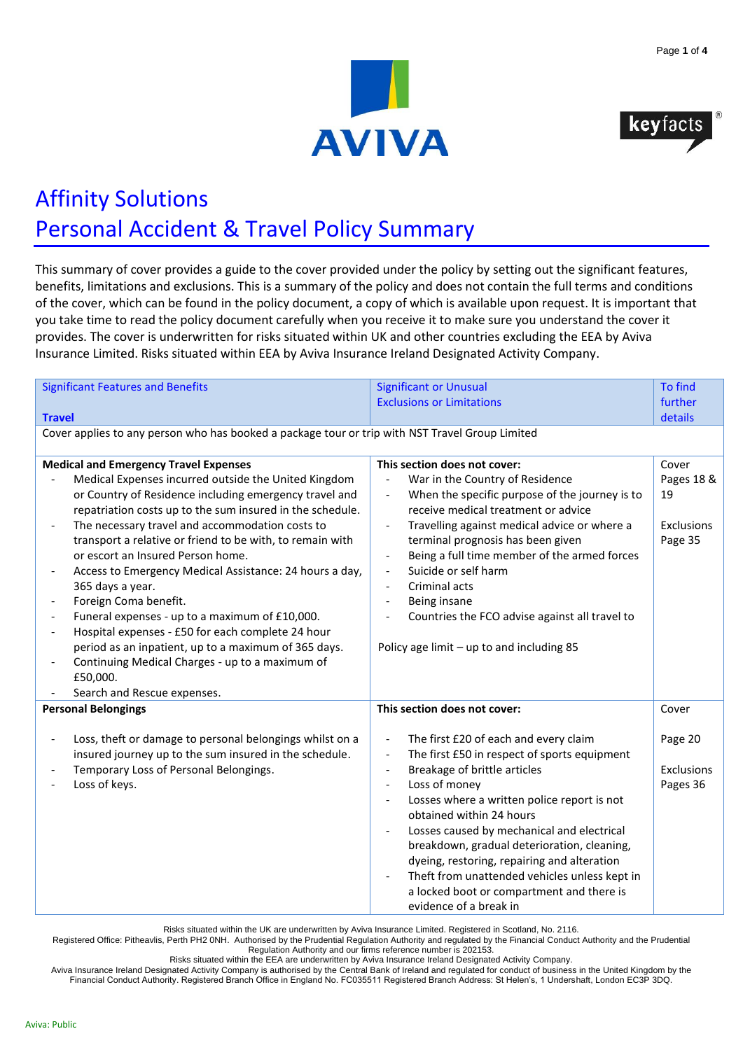



Page **1** of **4**

# Affinity Solutions Personal Accident & Travel Policy Summary

This summary of cover provides a guide to the cover provided under the policy by setting out the significant features, benefits, limitations and exclusions. This is a summary of the policy and does not contain the full terms and conditions of the cover, which can be found in the policy document, a copy of which is available upon request. It is important that you take time to read the policy document carefully when you receive it to make sure you understand the cover it provides. The cover is underwritten for risks situated within UK and other countries excluding the EEA by Aviva Insurance Limited. Risks situated within EEA by Aviva Insurance Ireland Designated Activity Company.

| <b>Significant Features and Benefits</b>                                                                                                                                                                                                                                                                                                                                                                                                                                                                                                                                                                                                  | <b>Significant or Unusual</b>                                                                                                                                                                                                                                                                                                                                                                                                                                                                                                                                                                                                             | <b>To find</b>                    |  |
|-------------------------------------------------------------------------------------------------------------------------------------------------------------------------------------------------------------------------------------------------------------------------------------------------------------------------------------------------------------------------------------------------------------------------------------------------------------------------------------------------------------------------------------------------------------------------------------------------------------------------------------------|-------------------------------------------------------------------------------------------------------------------------------------------------------------------------------------------------------------------------------------------------------------------------------------------------------------------------------------------------------------------------------------------------------------------------------------------------------------------------------------------------------------------------------------------------------------------------------------------------------------------------------------------|-----------------------------------|--|
|                                                                                                                                                                                                                                                                                                                                                                                                                                                                                                                                                                                                                                           | <b>Exclusions or Limitations</b>                                                                                                                                                                                                                                                                                                                                                                                                                                                                                                                                                                                                          | further                           |  |
| <b>Travel</b>                                                                                                                                                                                                                                                                                                                                                                                                                                                                                                                                                                                                                             |                                                                                                                                                                                                                                                                                                                                                                                                                                                                                                                                                                                                                                           | details                           |  |
| Cover applies to any person who has booked a package tour or trip with NST Travel Group Limited                                                                                                                                                                                                                                                                                                                                                                                                                                                                                                                                           |                                                                                                                                                                                                                                                                                                                                                                                                                                                                                                                                                                                                                                           |                                   |  |
| <b>Medical and Emergency Travel Expenses</b><br>Medical Expenses incurred outside the United Kingdom<br>or Country of Residence including emergency travel and                                                                                                                                                                                                                                                                                                                                                                                                                                                                            | This section does not cover:<br>War in the Country of Residence<br>$\overline{\phantom{a}}$<br>When the specific purpose of the journey is to<br>$\overline{\phantom{a}}$                                                                                                                                                                                                                                                                                                                                                                                                                                                                 | Cover<br>Pages 18 &<br>19         |  |
| repatriation costs up to the sum insured in the schedule.<br>The necessary travel and accommodation costs to<br>transport a relative or friend to be with, to remain with<br>or escort an Insured Person home.<br>Access to Emergency Medical Assistance: 24 hours a day,<br>$\overline{a}$<br>365 days a year.<br>Foreign Coma benefit.<br>$\overline{a}$<br>Funeral expenses - up to a maximum of £10,000.<br>Hospital expenses - £50 for each complete 24 hour<br>$\overline{a}$<br>period as an inpatient, up to a maximum of 365 days.<br>Continuing Medical Charges - up to a maximum of<br>£50,000.<br>Search and Rescue expenses. | receive medical treatment or advice<br>Travelling against medical advice or where a<br>terminal prognosis has been given<br>Being a full time member of the armed forces<br>$\overline{\phantom{a}}$<br>Suicide or self harm<br>$\overline{\phantom{a}}$<br>Criminal acts<br>$\overline{\phantom{a}}$<br>Being insane<br>$\overline{\phantom{a}}$<br>Countries the FCO advise against all travel to<br>$\overline{\phantom{a}}$<br>Policy age limit - up to and including 85                                                                                                                                                              | <b>Exclusions</b><br>Page 35      |  |
| <b>Personal Belongings</b>                                                                                                                                                                                                                                                                                                                                                                                                                                                                                                                                                                                                                | This section does not cover:                                                                                                                                                                                                                                                                                                                                                                                                                                                                                                                                                                                                              | Cover                             |  |
| Loss, theft or damage to personal belongings whilst on a<br>$\overline{\phantom{0}}$<br>insured journey up to the sum insured in the schedule.<br>Temporary Loss of Personal Belongings.<br>Loss of keys.                                                                                                                                                                                                                                                                                                                                                                                                                                 | The first £20 of each and every claim<br>$\blacksquare$<br>The first £50 in respect of sports equipment<br>$\overline{\phantom{a}}$<br>Breakage of brittle articles<br>$\overline{\phantom{a}}$<br>Loss of money<br>$\overline{\phantom{a}}$<br>Losses where a written police report is not<br>$\blacksquare$<br>obtained within 24 hours<br>Losses caused by mechanical and electrical<br>breakdown, gradual deterioration, cleaning,<br>dyeing, restoring, repairing and alteration<br>Theft from unattended vehicles unless kept in<br>$\overline{\phantom{a}}$<br>a locked boot or compartment and there is<br>evidence of a break in | Page 20<br>Exclusions<br>Pages 36 |  |

Risks situated within the UK are underwritten by Aviva Insurance Limited. Registered in Scotland, No. 2116.

Registered Office: Pitheavlis, Perth PH2 0NH. Authorised by the Prudential Regulation Authority and regulated by the Financial Conduct Authority and the Prudential Regulation Authority and our firms reference number is 202153.

Risks situated within the EEA are underwritten by Aviva Insurance Ireland Designated Activity Company.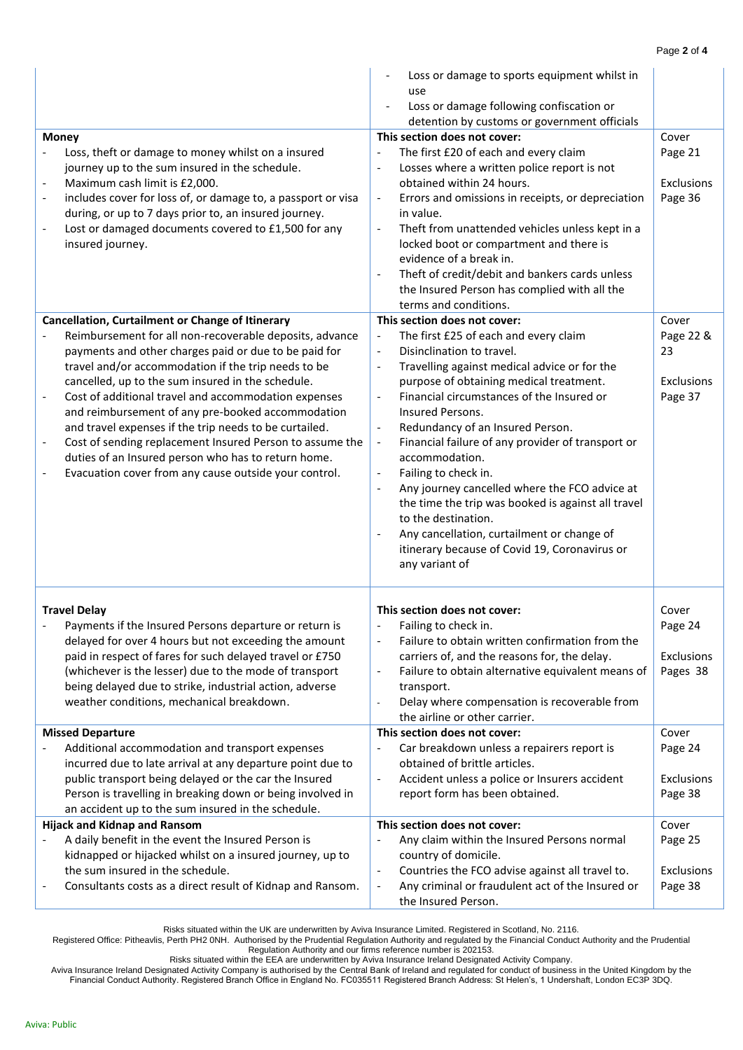| <b>Money</b><br>Loss, theft or damage to money whilst on a insured<br>$\frac{1}{2}$<br>journey up to the sum insured in the schedule.<br>Maximum cash limit is £2,000.<br>$\overline{\phantom{a}}$<br>includes cover for loss of, or damage to, a passport or visa<br>$\overline{\phantom{a}}$<br>during, or up to 7 days prior to, an insured journey.<br>Lost or damaged documents covered to £1,500 for any<br>insured journey.                                                                                                                                                                                                                                                          | Loss or damage to sports equipment whilst in<br>use<br>Loss or damage following confiscation or<br>detention by customs or government officials<br>This section does not cover:<br>The first £20 of each and every claim<br>$\frac{1}{2}$<br>Losses where a written police report is not<br>$\overline{a}$<br>obtained within 24 hours.<br>Errors and omissions in receipts, or depreciation<br>$\blacksquare$<br>in value.<br>Theft from unattended vehicles unless kept in a<br>locked boot or compartment and there is<br>evidence of a break in.<br>Theft of credit/debit and bankers cards unless<br>the Insured Person has complied with all the                                                                                                                                                                                              | Cover<br>Page 21<br>Exclusions<br>Page 36           |
|---------------------------------------------------------------------------------------------------------------------------------------------------------------------------------------------------------------------------------------------------------------------------------------------------------------------------------------------------------------------------------------------------------------------------------------------------------------------------------------------------------------------------------------------------------------------------------------------------------------------------------------------------------------------------------------------|-----------------------------------------------------------------------------------------------------------------------------------------------------------------------------------------------------------------------------------------------------------------------------------------------------------------------------------------------------------------------------------------------------------------------------------------------------------------------------------------------------------------------------------------------------------------------------------------------------------------------------------------------------------------------------------------------------------------------------------------------------------------------------------------------------------------------------------------------------|-----------------------------------------------------|
|                                                                                                                                                                                                                                                                                                                                                                                                                                                                                                                                                                                                                                                                                             | terms and conditions.                                                                                                                                                                                                                                                                                                                                                                                                                                                                                                                                                                                                                                                                                                                                                                                                                               |                                                     |
| Cancellation, Curtailment or Change of Itinerary<br>Reimbursement for all non-recoverable deposits, advance<br>payments and other charges paid or due to be paid for<br>travel and/or accommodation if the trip needs to be<br>cancelled, up to the sum insured in the schedule.<br>Cost of additional travel and accommodation expenses<br>and reimbursement of any pre-booked accommodation<br>and travel expenses if the trip needs to be curtailed.<br>Cost of sending replacement Insured Person to assume the<br>$\overline{\phantom{a}}$<br>duties of an Insured person who has to return home.<br>Evacuation cover from any cause outside your control.<br>$\overline{\phantom{a}}$ | This section does not cover:<br>The first £25 of each and every claim<br>Disinclination to travel.<br>$\blacksquare$<br>Travelling against medical advice or for the<br>$\overline{\phantom{a}}$<br>purpose of obtaining medical treatment.<br>Financial circumstances of the Insured or<br>$\overline{a}$<br><b>Insured Persons.</b><br>Redundancy of an Insured Person.<br>$\overline{\phantom{a}}$<br>Financial failure of any provider of transport or<br>$\blacksquare$<br>accommodation.<br>Failing to check in.<br>$\qquad \qquad \blacksquare$<br>Any journey cancelled where the FCO advice at<br>$\overline{a}$<br>the time the trip was booked is against all travel<br>to the destination.<br>Any cancellation, curtailment or change of<br>$\overline{\phantom{a}}$<br>itinerary because of Covid 19, Coronavirus or<br>any variant of | Cover<br>Page 22 &<br>23<br>Exclusions<br>Page 37   |
| <b>Travel Delay</b><br>Payments if the Insured Persons departure or return is<br>delayed for over 4 hours but not exceeding the amount<br>paid in respect of fares for such delayed travel or £750<br>(whichever is the lesser) due to the mode of transport<br>being delayed due to strike, industrial action, adverse<br>weather conditions, mechanical breakdown.<br><b>Missed Departure</b>                                                                                                                                                                                                                                                                                             | This section does not cover:<br>Failing to check in.<br>Failure to obtain written confirmation from the<br>carriers of, and the reasons for, the delay.<br>Failure to obtain alternative equivalent means of<br>$\overline{a}$<br>transport.<br>Delay where compensation is recoverable from<br>the airline or other carrier.<br>This section does not cover:                                                                                                                                                                                                                                                                                                                                                                                                                                                                                       | Cover<br>Page 24<br>Exclusions<br>Pages 38<br>Cover |
| Additional accommodation and transport expenses                                                                                                                                                                                                                                                                                                                                                                                                                                                                                                                                                                                                                                             | Car breakdown unless a repairers report is<br>$\overline{a}$                                                                                                                                                                                                                                                                                                                                                                                                                                                                                                                                                                                                                                                                                                                                                                                        | Page 24                                             |
| incurred due to late arrival at any departure point due to<br>public transport being delayed or the car the Insured<br>Person is travelling in breaking down or being involved in                                                                                                                                                                                                                                                                                                                                                                                                                                                                                                           | obtained of brittle articles.<br>Accident unless a police or Insurers accident<br>$\overline{\phantom{a}}$<br>report form has been obtained.                                                                                                                                                                                                                                                                                                                                                                                                                                                                                                                                                                                                                                                                                                        | Exclusions<br>Page 38                               |
| an accident up to the sum insured in the schedule.                                                                                                                                                                                                                                                                                                                                                                                                                                                                                                                                                                                                                                          |                                                                                                                                                                                                                                                                                                                                                                                                                                                                                                                                                                                                                                                                                                                                                                                                                                                     |                                                     |
| <b>Hijack and Kidnap and Ransom</b><br>A daily benefit in the event the Insured Person is<br>kidnapped or hijacked whilst on a insured journey, up to<br>the sum insured in the schedule.<br>Consultants costs as a direct result of Kidnap and Ransom.                                                                                                                                                                                                                                                                                                                                                                                                                                     | This section does not cover:<br>Any claim within the Insured Persons normal<br>$\overline{a}$<br>country of domicile.<br>Countries the FCO advise against all travel to.<br>$\blacksquare$<br>Any criminal or fraudulent act of the Insured or<br>$\blacksquare$<br>the Insured Person.                                                                                                                                                                                                                                                                                                                                                                                                                                                                                                                                                             | Cover<br>Page 25<br>Exclusions<br>Page 38           |

Risks situated within the UK are underwritten by Aviva Insurance Limited. Registered in Scotland, No. 2116.

Registered Office: Pitheavlis, Perth PH2 0NH. Authorised by the Prudential Regulation Authority and regulated by the Financial Conduct Authority and the Prudential Regulation Authority and our firms reference number is 202153.

Risks situated within the EEA are underwritten by Aviva Insurance Ireland Designated Activity Company.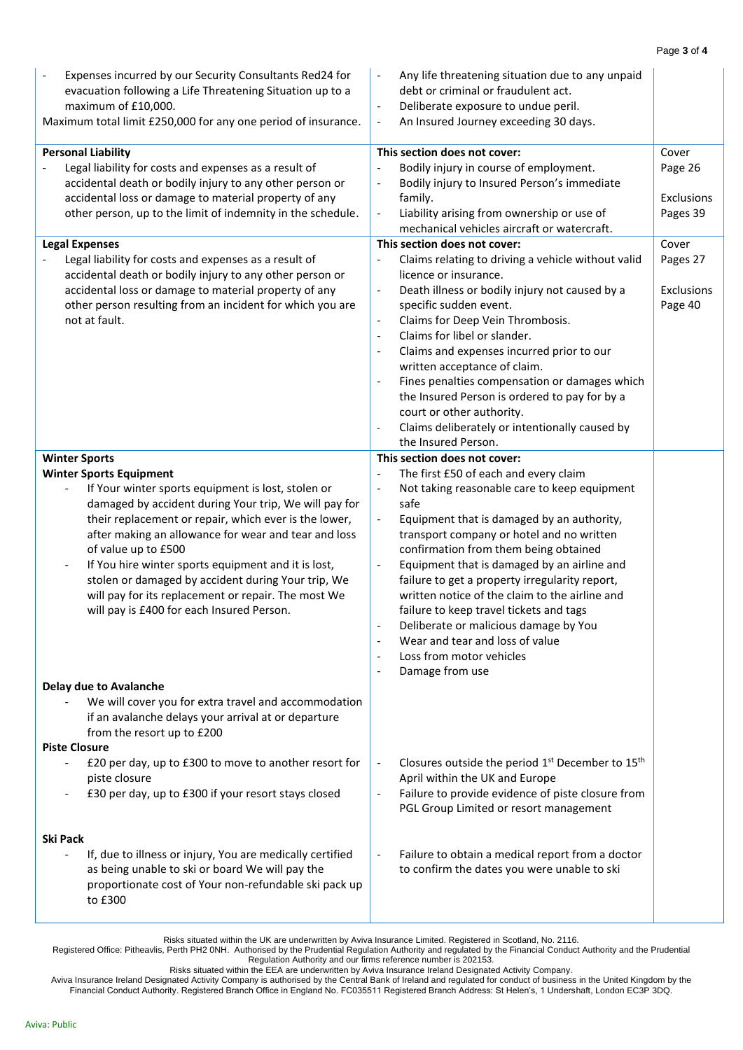| Expenses incurred by our Security Consultants Red24 for<br>evacuation following a Life Threatening Situation up to a<br>maximum of £10,000.<br>Maximum total limit £250,000 for any one period of insurance.                                                                                                                                                                                                                                                                                                                   | Any life threatening situation due to any unpaid<br>$\blacksquare$<br>debt or criminal or fraudulent act.<br>Deliberate exposure to undue peril.<br>An Insured Journey exceeding 30 days.<br>$\overline{\phantom{a}}$                                                                                                                                                                                                                                                                                                                                                                                                                                                    |                                            |
|--------------------------------------------------------------------------------------------------------------------------------------------------------------------------------------------------------------------------------------------------------------------------------------------------------------------------------------------------------------------------------------------------------------------------------------------------------------------------------------------------------------------------------|--------------------------------------------------------------------------------------------------------------------------------------------------------------------------------------------------------------------------------------------------------------------------------------------------------------------------------------------------------------------------------------------------------------------------------------------------------------------------------------------------------------------------------------------------------------------------------------------------------------------------------------------------------------------------|--------------------------------------------|
| <b>Personal Liability</b><br>Legal liability for costs and expenses as a result of<br>accidental death or bodily injury to any other person or<br>accidental loss or damage to material property of any<br>other person, up to the limit of indemnity in the schedule.                                                                                                                                                                                                                                                         | This section does not cover:<br>Bodily injury in course of employment.<br>Bodily injury to Insured Person's immediate<br>$\overline{a}$<br>family.<br>Liability arising from ownership or use of<br>$\overline{\phantom{a}}$<br>mechanical vehicles aircraft or watercraft.                                                                                                                                                                                                                                                                                                                                                                                              | Cover<br>Page 26<br>Exclusions<br>Pages 39 |
| <b>Legal Expenses</b><br>Legal liability for costs and expenses as a result of<br>accidental death or bodily injury to any other person or<br>accidental loss or damage to material property of any<br>other person resulting from an incident for which you are<br>not at fault.                                                                                                                                                                                                                                              | This section does not cover:<br>Claims relating to driving a vehicle without valid<br>licence or insurance.<br>Death illness or bodily injury not caused by a<br>$\blacksquare$<br>specific sudden event.<br>Claims for Deep Vein Thrombosis.<br>$\blacksquare$<br>Claims for libel or slander.<br>$\overline{\phantom{a}}$<br>Claims and expenses incurred prior to our<br>$\overline{\phantom{a}}$<br>written acceptance of claim.<br>Fines penalties compensation or damages which<br>$\overline{\phantom{a}}$<br>the Insured Person is ordered to pay for by a<br>court or other authority.<br>Claims deliberately or intentionally caused by<br>the Insured Person. | Cover<br>Pages 27<br>Exclusions<br>Page 40 |
| <b>Winter Sports</b><br><b>Winter Sports Equipment</b><br>If Your winter sports equipment is lost, stolen or<br>damaged by accident during Your trip, We will pay for<br>their replacement or repair, which ever is the lower,<br>after making an allowance for wear and tear and loss<br>of value up to £500<br>If You hire winter sports equipment and it is lost,<br>stolen or damaged by accident during Your trip, We<br>will pay for its replacement or repair. The most We<br>will pay is £400 for each Insured Person. | This section does not cover:<br>The first £50 of each and every claim<br>Not taking reasonable care to keep equipment<br>safe<br>Equipment that is damaged by an authority,<br>transport company or hotel and no written<br>confirmation from them being obtained<br>Equipment that is damaged by an airline and<br>failure to get a property irregularity report,<br>written notice of the claim to the airline and<br>failure to keep travel tickets and tags<br>Deliberate or malicious damage by You<br>Wear and tear and loss of value<br>Loss from motor vehicles<br>$\overline{\phantom{a}}$<br>Damage from use<br>$\overline{\phantom{a}}$                       |                                            |
| <b>Delay due to Avalanche</b><br>We will cover you for extra travel and accommodation<br>if an avalanche delays your arrival at or departure<br>from the resort up to £200                                                                                                                                                                                                                                                                                                                                                     |                                                                                                                                                                                                                                                                                                                                                                                                                                                                                                                                                                                                                                                                          |                                            |
| <b>Piste Closure</b><br>£20 per day, up to £300 to move to another resort for<br>piste closure<br>£30 per day, up to £300 if your resort stays closed                                                                                                                                                                                                                                                                                                                                                                          | Closures outside the period 1 <sup>st</sup> December to 15 <sup>th</sup><br>$\overline{\phantom{a}}$<br>April within the UK and Europe<br>Failure to provide evidence of piste closure from<br>$\overline{\phantom{a}}$<br>PGL Group Limited or resort management                                                                                                                                                                                                                                                                                                                                                                                                        |                                            |
| Ski Pack<br>If, due to illness or injury, You are medically certified<br>as being unable to ski or board We will pay the<br>proportionate cost of Your non-refundable ski pack up<br>to £300                                                                                                                                                                                                                                                                                                                                   | Failure to obtain a medical report from a doctor<br>$\blacksquare$<br>to confirm the dates you were unable to ski                                                                                                                                                                                                                                                                                                                                                                                                                                                                                                                                                        |                                            |

Risks situated within the UK are underwritten by Aviva Insurance Limited. Registered in Scotland, No. 2116.

Registered Office: Pitheavlis, Perth PH2 0NH. Authorised by the Prudential Regulation Authority and regulated by the Financial Conduct Authority and the Prudential Regulation Authority and our firms reference number is 202153.

Risks situated within the EEA are underwritten by Aviva Insurance Ireland Designated Activity Company.